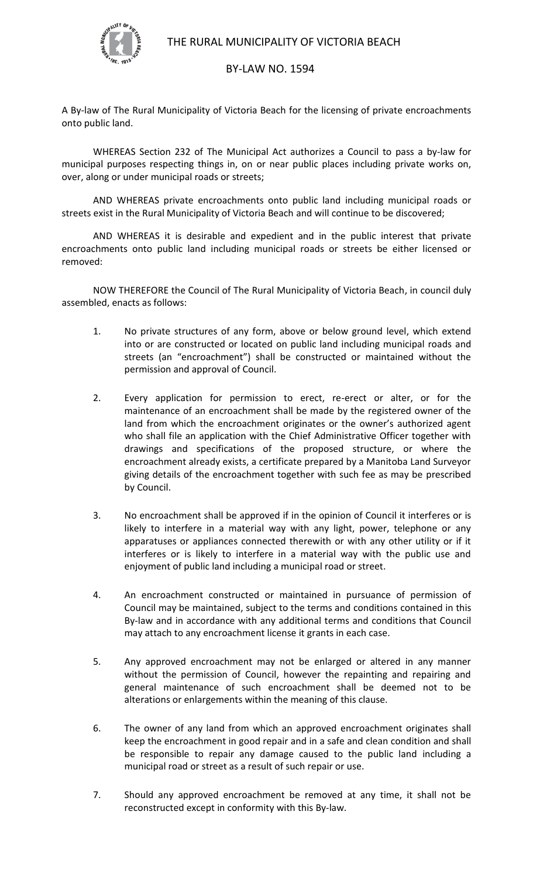

## BY-LAW NO. 1594

A By-law of The Rural Municipality of Victoria Beach for the licensing of private encroachments onto public land.

WHEREAS Section 232 of The Municipal Act authorizes a Council to pass a by-law for municipal purposes respecting things in, on or near public places including private works on, over, along or under municipal roads or streets;

AND WHEREAS private encroachments onto public land including municipal roads or streets exist in the Rural Municipality of Victoria Beach and will continue to be discovered;

AND WHEREAS it is desirable and expedient and in the public interest that private encroachments onto public land including municipal roads or streets be either licensed or removed:

NOW THEREFORE the Council of The Rural Municipality of Victoria Beach, in council duly assembled, enacts as follows:

- 1. No private structures of any form, above or below ground level, which extend into or are constructed or located on public land including municipal roads and streets (an "encroachment") shall be constructed or maintained without the permission and approval of Council.
- 2. Every application for permission to erect, re-erect or alter, or for the maintenance of an encroachment shall be made by the registered owner of the land from which the encroachment originates or the owner's authorized agent who shall file an application with the Chief Administrative Officer together with drawings and specifications of the proposed structure, or where the encroachment already exists, a certificate prepared by a Manitoba Land Surveyor giving details of the encroachment together with such fee as may be prescribed by Council.
- 3. No encroachment shall be approved if in the opinion of Council it interferes or is likely to interfere in a material way with any light, power, telephone or any apparatuses or appliances connected therewith or with any other utility or if it interferes or is likely to interfere in a material way with the public use and enjoyment of public land including a municipal road or street.
- 4. An encroachment constructed or maintained in pursuance of permission of Council may be maintained, subject to the terms and conditions contained in this By-law and in accordance with any additional terms and conditions that Council may attach to any encroachment license it grants in each case.
- 5. Any approved encroachment may not be enlarged or altered in any manner without the permission of Council, however the repainting and repairing and general maintenance of such encroachment shall be deemed not to be alterations or enlargements within the meaning of this clause.
- 6. The owner of any land from which an approved encroachment originates shall keep the encroachment in good repair and in a safe and clean condition and shall be responsible to repair any damage caused to the public land including a municipal road or street as a result of such repair or use.
- 7. Should any approved encroachment be removed at any time, it shall not be reconstructed except in conformity with this By-law.